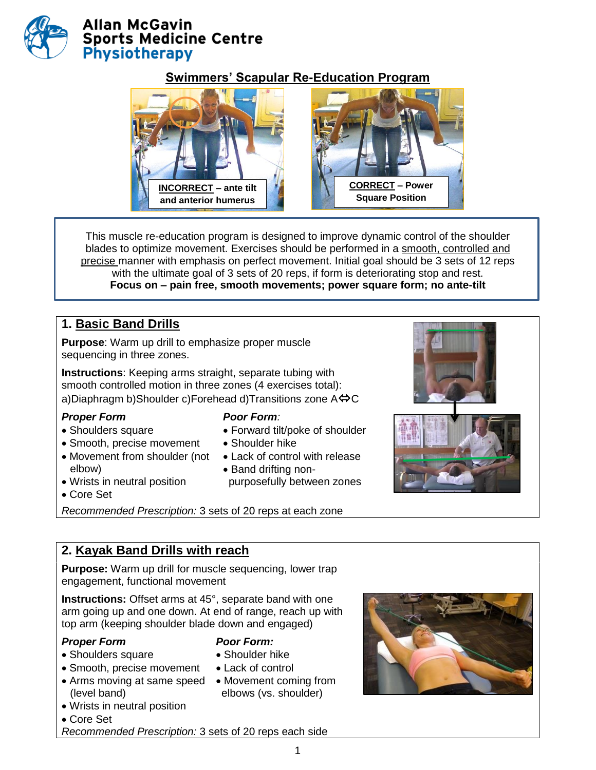

### **Swimmers' Scapular Re-Education Program**



 This muscle re-education program is designed to improve dynamic control of the shoulder blades to optimize movement. Exercises should be performed in a smooth, controlled and precise manner with emphasis on perfect movement. Initial goal should be 3 sets of 12 reps with the ultimate goal of 3 sets of 20 reps, if form is deteriorating stop and rest. **Focus on – pain free, smooth movements; power square form; no ante-tilt**

# **1. Basic Band Drills**

**Purpose**: Warm up drill to emphasize proper muscle sequencing in three zones.

**Instructions**: Keeping arms straight, separate tubing with smooth controlled motion in three zones (4 exercises total): a)Diaphragm b)Shoulder c)Forehead d)Transitions zone  $A \leftrightarrow C$ 

### *Proper Form Poor Form:*

- Shoulders square
- Smooth, precise movement
- Movement from shoulder (not elbow)
- 
- Forward tilt/poke of shoulder
- Shoulder hike Lack of control with release
- Band drifting non-
- purposefully between zones
- Wrists in neutral position
- Core Set

*Recommended Prescription:* 3 sets of 20 reps at each zone

### **2. Kayak Band Drills with reach**

**Purpose:** Warm up drill for muscle sequencing, lower trap engagement, functional movement

**Instructions:** Offset arms at 45°, separate band with one arm going up and one down. At end of range, reach up with top arm (keeping shoulder blade down and engaged)

### *Proper Form*

- *Poor Form:* Shoulder hike
- Shoulders square Smooth, precise movement

Wrists in neutral position

- Arms moving at same speed Movement coming from (level band)
- Lack of control elbows (vs. shoulder)
- 

- Core Set
- *Recommended Prescription:* 3 sets of 20 reps each side

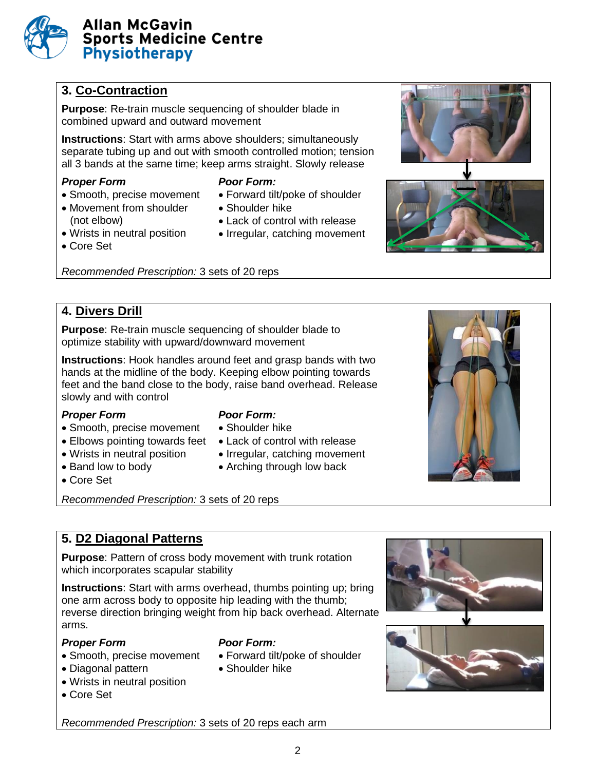

## **3. Co-Contraction**

**Purpose**: Re-train muscle sequencing of shoulder blade in combined upward and outward movement

**Instructions**: Start with arms above shoulders; simultaneously separate tubing up and out with smooth controlled motion; tension all 3 bands at the same time; keep arms straight. Slowly release

- Smooth, precise movement
- Movement from shoulder (not elbow)
- Wrists in neutral position
- Core Set

*Recommended Prescription:* 3 sets of 20 reps

### **4. Divers Drill**

**Purpose**: Re-train muscle sequencing of shoulder blade to optimize stability with upward/downward movement

**Instructions**: Hook handles around feet and grasp bands with two hands at the midline of the body. Keeping elbow pointing towards feet and the band close to the body, raise band overhead. Release slowly and with control

#### *Proper Form Poor Form:*

- Smooth, precise movement
- Elbows pointing towards feet Lack of control with release
- Wrists in neutral position
- Band low to body
- 
- 
- Shoulder hike
- 
- Irregular, catching movement
- Arching through low back
- Core Set
- *Recommended Prescription:* 3 sets of 20 reps

### **5. D2 Diagonal Patterns**

**Purpose**: Pattern of cross body movement with trunk rotation which incorporates scapular stability

**Instructions**: Start with arms overhead, thumbs pointing up; bring one arm across body to opposite hip leading with the thumb; reverse direction bringing weight from hip back overhead. Alternate arms.

#### *Proper Form Poor Form:*

- Smooth, precise movement
- Diagonal pattern
- Wrists in neutral position
- Core Set

- Forward tilt/poke of shoulder
- Shoulder hike











# *Proper Form Poor Form:*

- Forward tilt/poke of shoulder
- Shoulder hike
- Lack of control with release
- Irregular, catching movement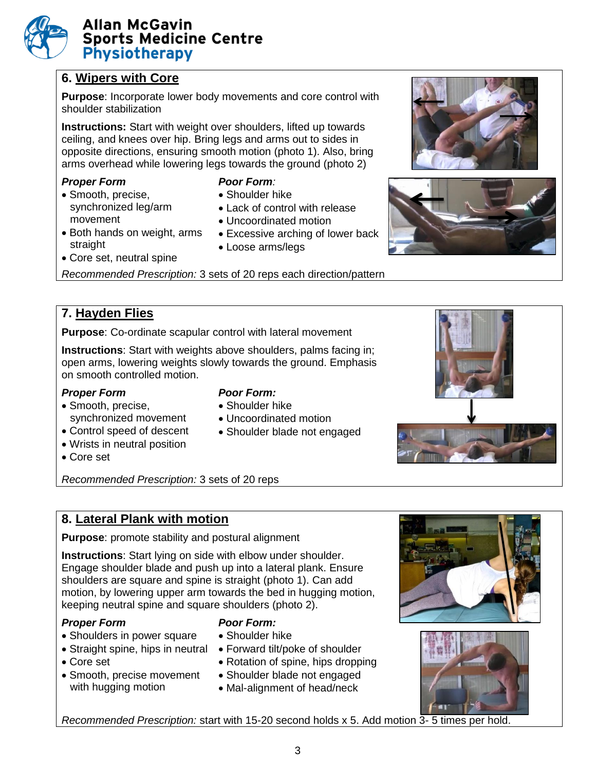# **6. Wipers with Core**

**Purpose**: Incorporate lower body movements and core control with shoulder stabilization

**Instructions:** Start with weight over shoulders, lifted up towards ceiling, and knees over hip. Bring legs and arms out to sides in opposite directions, ensuring smooth motion (photo 1). Also, bring arms overhead while lowering legs towards the ground (photo 2)

### *Proper Form Poor Form:*

• Smooth, precise, synchronized leg/arm movement

- Shoulder hike
- Lack of control with release
- Uncoordinated motion
- Both hands on weight, arms straight
- Excessive arching of lower back
- Loose arms/legs
- Core set, neutral spine

*Recommended Prescription:* 3 sets of 20 reps each direction/pattern

# **7. Hayden Flies**

**Purpose**: Co-ordinate scapular control with lateral movement

**Instructions**: Start with weights above shoulders, palms facing in; open arms, lowering weights slowly towards the ground. Emphasis on smooth controlled motion.

### *Proper Form Poor Form:*

# • Shoulder hike

Uncoordinated motion

• Shoulder blade not engaged

- Smooth, precise, synchronized movement
- Control speed of descent
- Wrists in neutral position
- Core set

*Recommended Prescription:* 3 sets of 20 reps

# **8. Lateral Plank with motion**

**Purpose**: promote stability and postural alignment

**Instructions**: Start lying on side with elbow under shoulder. Engage shoulder blade and push up into a lateral plank. Ensure shoulders are square and spine is straight (photo 1). Can add motion, by lowering upper arm towards the bed in hugging motion, keeping neutral spine and square shoulders (photo 2).

### *Proper Form Poor Form:*

- Shoulders in power square
- Straight spine, hips in neutral Forward tilt/poke of shoulder
- Core set
- Smooth, precise movement with hugging motion

- Shoulder hike
- 
- Rotation of spine, hips dropping
- Shoulder blade not engaged
- Mal-alignment of head/neck





*Recommended Prescription:* start with 15-20 second holds x 5. Add motion 3- 5 times per hold.

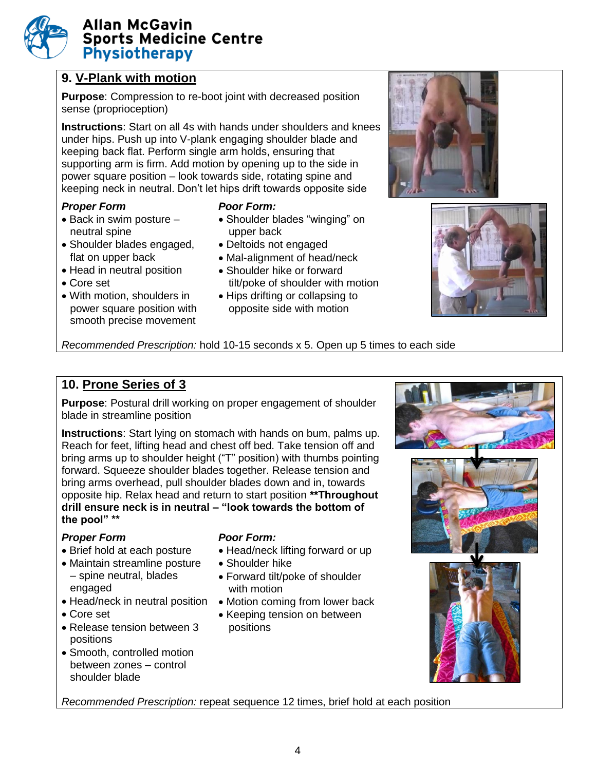# **9. V-Plank with motion**

**Purpose**: Compression to re-boot joint with decreased position sense (proprioception)

**Instructions**: Start on all 4s with hands under shoulders and knees under hips. Push up into V-plank engaging shoulder blade and keeping back flat. Perform single arm holds, ensuring that supporting arm is firm. Add motion by opening up to the side in power square position – look towards side, rotating spine and keeping neck in neutral. Don't let hips drift towards opposite side

### *Proper Form Poor Form:*

- $\bullet$  Back in swim posture  $$ neutral spine
- Shoulder blades engaged, flat on upper back
- Head in neutral position
- Core set
- With motion, shoulders in power square position with smooth precise movement

- Shoulder blades "winging" on upper back
- Deltoids not engaged
- Mal-alignment of head/neck
- Shoulder hike or forward tilt/poke of shoulder with motion
- Hips drifting or collapsing to opposite side with motion





*Recommended Prescription:* hold 10-15 seconds x 5. Open up 5 times to each side

# **10. Prone Series of 3**

**Purpose**: Postural drill working on proper engagement of shoulder blade in streamline position

**Instructions**: Start lying on stomach with hands on bum, palms up. Reach for feet, lifting head and chest off bed. Take tension off and bring arms up to shoulder height ("T" position) with thumbs pointing forward. Squeeze shoulder blades together. Release tension and bring arms overhead, pull shoulder blades down and in, towards opposite hip. Relax head and return to start position **\*\*Throughout drill ensure neck is in neutral – "look towards the bottom of the pool" \*\***

### *Proper Form Poor Form:*

- Brief hold at each posture
- Maintain streamline posture – spine neutral, blades engaged
- 
- Core set
- Release tension between 3 positions
- Smooth, controlled motion between zones – control shoulder blade

- Head/neck lifting forward or up
- Shoulder hike
- Forward tilt/poke of shoulder with motion
- Head/neck in neutral position Motion coming from lower back
	- Keeping tension on between positions



*Recommended Prescription:* repeat sequence 12 times, brief hold at each position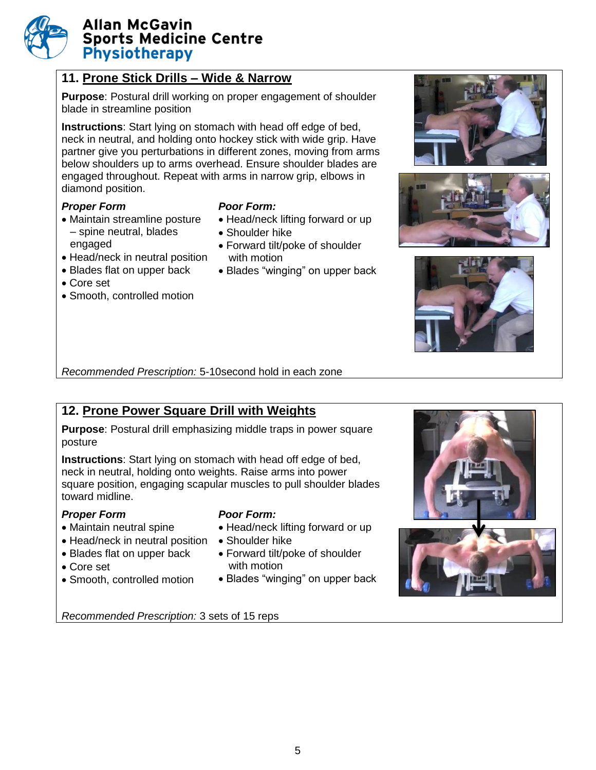### **11. Prone Stick Drills – Wide & Narrow**

**Purpose**: Postural drill working on proper engagement of shoulder blade in streamline position

**Instructions**: Start lying on stomach with head off edge of bed, neck in neutral, and holding onto hockey stick with wide grip. Have partner give you perturbations in different zones, moving from arms below shoulders up to arms overhead. Ensure shoulder blades are engaged throughout. Repeat with arms in narrow grip, elbows in diamond position.

#### *Proper Form Poor Form:*

 Maintain streamline posture – spine neutral, blades engaged • Head/neck in neutral position

- Head/neck lifting forward or up
- Shoulder hike
- Forward tilt/poke of shoulder with motion
- Blades "winging" on upper back
- Core set
- Smooth, controlled motion

• Blades flat on upper back







*Recommended Prescription:* 5-10second hold in each zone

# **12. Prone Power Square Drill with Weights**

**Purpose**: Postural drill emphasizing middle traps in power square posture

**Instructions**: Start lying on stomach with head off edge of bed, neck in neutral, holding onto weights. Raise arms into power square position, engaging scapular muscles to pull shoulder blades toward midline.

#### *Proper Form Poor Form:*

- Maintain neutral spine
- Head/neck in neutral position Shoulder hike
- Blades flat on upper back
- Core set
- Smooth, controlled motion

- Head/neck lifting forward or up
- 
- Forward tilt/poke of shoulder with motion
- Blades "winging" on upper back



*Recommended Prescription:* 3 sets of 15 reps